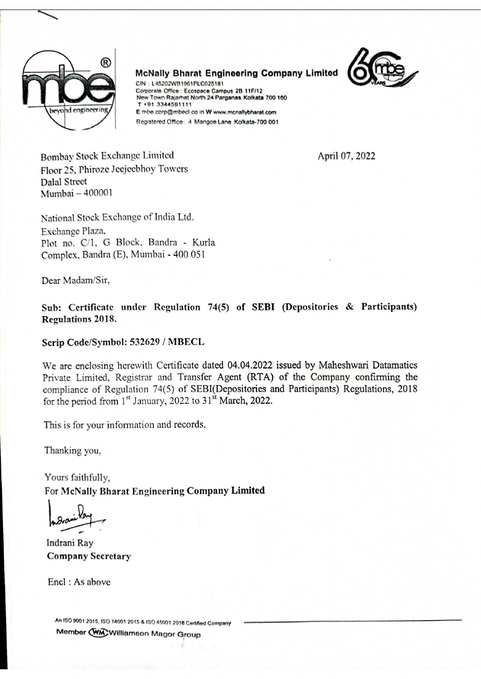

McNally Bharat Engineering Company Limited



CIN : LAS202WB1961PLCO28181 Corporate Office : Ecospace Campus 28 11F/12 New Town Rajarhat North 24 Parganas Kolkata 700 160 T +91 3344501111 E mbe.corp@mbecl.co.in W www.mcnallybharat.com Registered Office: 4 Mangoe Lane Kolkata-700 001

Bombay Stock Exchange Limited April 07, 2022 Floor 25, Phiroze Jeejecbhoy Towers Dalal Street Mumbai — 400001

National Stock Exchange of India Ltd. Exchange Plaza. Plot no. C/l, G Block, Bandra - Kurla Complex, Bandra (E), Mumbai - 400 051

Dear Madam/Sir,

Sub: Certificate under Regulation 74(5) of SEBI (Depositories & Participants) Regulations 2018.

## Scrip Code/Symbol: 532629 / MBECL

We are enclosing herewith Certificate dated 04.04.2022 issued by Maheshwari Datamatics Private Limited, Registrar and Transfer Agent (RTA) of the Company confirming the compliance of Regulation 74(5) of SEBI(Depositories and Participants) Regulations, 2018 for the period from  $1<sup>st</sup>$  January, 2022 to  $31<sup>st</sup>$  March, 2022.

This is for your information and records.

Thanking you,

Yours faithfully, For McNally Bharat Engineering Company Limited

*below* 

Indrani Ray Company Secretary

Encl : As above